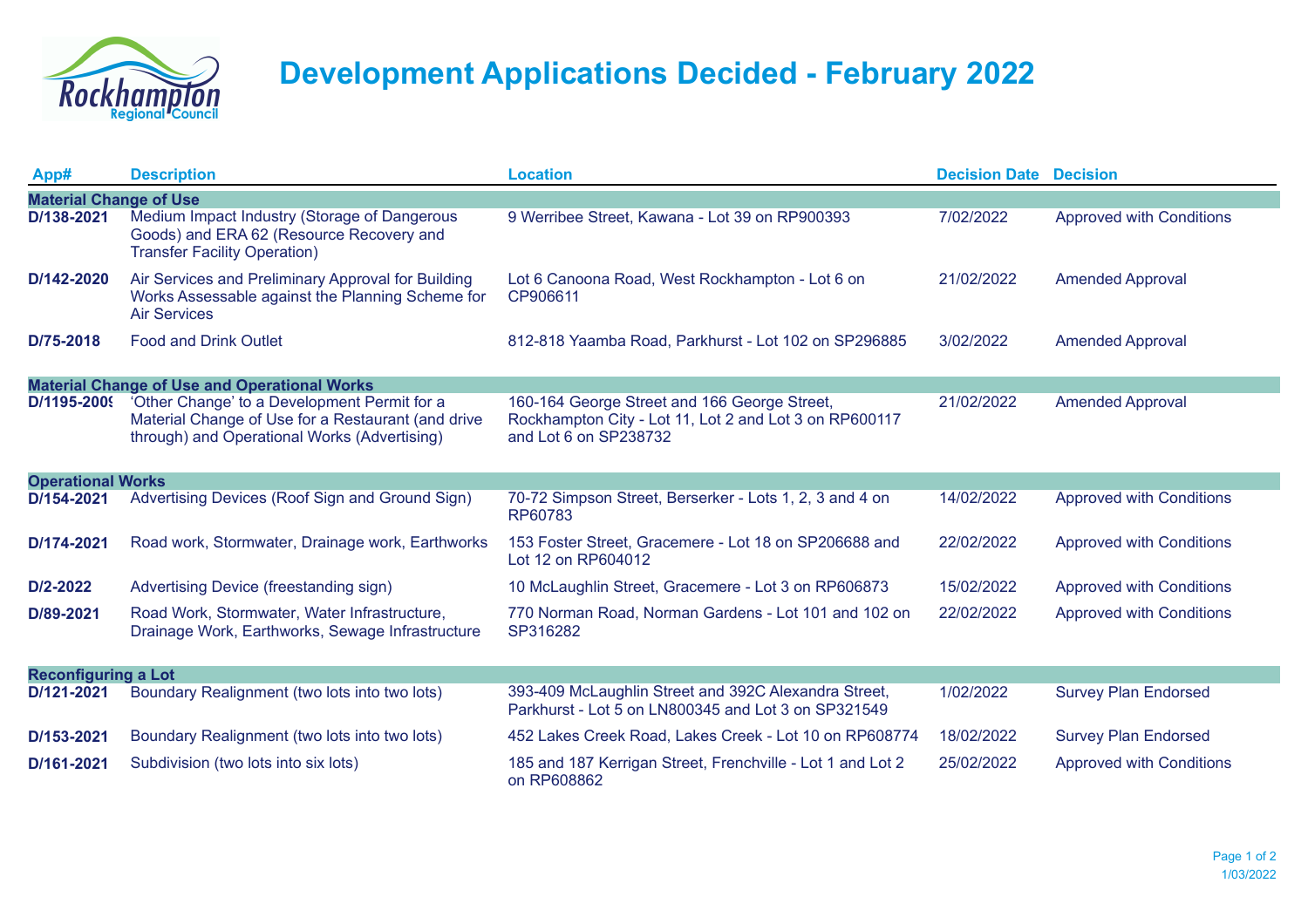

## **Development Applications Decided - February 2022**

| App#                                                | <b>Description</b>                                                                                                                                 | <b>Location</b>                                                                                                                 | <b>Decision Date Decision</b> |                                 |  |  |  |
|-----------------------------------------------------|----------------------------------------------------------------------------------------------------------------------------------------------------|---------------------------------------------------------------------------------------------------------------------------------|-------------------------------|---------------------------------|--|--|--|
| <b>Material Change of Use</b>                       |                                                                                                                                                    |                                                                                                                                 |                               |                                 |  |  |  |
| D/138-2021                                          | Medium Impact Industry (Storage of Dangerous<br>Goods) and ERA 62 (Resource Recovery and<br><b>Transfer Facility Operation)</b>                    | 9 Werribee Street, Kawana - Lot 39 on RP900393                                                                                  | 7/02/2022                     | <b>Approved with Conditions</b> |  |  |  |
| D/142-2020                                          | Air Services and Preliminary Approval for Building<br>Works Assessable against the Planning Scheme for<br><b>Air Services</b>                      | Lot 6 Canoona Road, West Rockhampton - Lot 6 on<br>CP906611                                                                     | 21/02/2022                    | <b>Amended Approval</b>         |  |  |  |
| D/75-2018                                           | <b>Food and Drink Outlet</b>                                                                                                                       | 812-818 Yaamba Road, Parkhurst - Lot 102 on SP296885                                                                            | 3/02/2022                     | <b>Amended Approval</b>         |  |  |  |
| <b>Material Change of Use and Operational Works</b> |                                                                                                                                                    |                                                                                                                                 |                               |                                 |  |  |  |
| D/1195-2009                                         | 'Other Change' to a Development Permit for a<br>Material Change of Use for a Restaurant (and drive<br>through) and Operational Works (Advertising) | 160-164 George Street and 166 George Street,<br>Rockhampton City - Lot 11, Lot 2 and Lot 3 on RP600117<br>and Lot 6 on SP238732 | 21/02/2022                    | <b>Amended Approval</b>         |  |  |  |
| <b>Operational Works</b>                            |                                                                                                                                                    |                                                                                                                                 |                               |                                 |  |  |  |
| D/154-2021                                          | Advertising Devices (Roof Sign and Ground Sign)                                                                                                    | 70-72 Simpson Street, Berserker - Lots 1, 2, 3 and 4 on<br>RP60783                                                              | 14/02/2022                    | <b>Approved with Conditions</b> |  |  |  |
| D/174-2021                                          | Road work, Stormwater, Drainage work, Earthworks                                                                                                   | 153 Foster Street, Gracemere - Lot 18 on SP206688 and<br>Lot 12 on RP604012                                                     | 22/02/2022                    | <b>Approved with Conditions</b> |  |  |  |
| $D/2 - 2022$                                        | Advertising Device (freestanding sign)                                                                                                             | 10 McLaughlin Street, Gracemere - Lot 3 on RP606873                                                                             | 15/02/2022                    | <b>Approved with Conditions</b> |  |  |  |
| D/89-2021                                           | Road Work, Stormwater, Water Infrastructure,<br>Drainage Work, Earthworks, Sewage Infrastructure                                                   | 770 Norman Road, Norman Gardens - Lot 101 and 102 on<br>SP316282                                                                | 22/02/2022                    | <b>Approved with Conditions</b> |  |  |  |
| <b>Reconfiguring a Lot</b>                          |                                                                                                                                                    |                                                                                                                                 |                               |                                 |  |  |  |
| D/121-2021                                          | Boundary Realignment (two lots into two lots)                                                                                                      | 393-409 McLaughlin Street and 392C Alexandra Street,<br>Parkhurst - Lot 5 on LN800345 and Lot 3 on SP321549                     | 1/02/2022                     | <b>Survey Plan Endorsed</b>     |  |  |  |
| D/153-2021                                          | Boundary Realignment (two lots into two lots)                                                                                                      | 452 Lakes Creek Road, Lakes Creek - Lot 10 on RP608774                                                                          | 18/02/2022                    | <b>Survey Plan Endorsed</b>     |  |  |  |
| D/161-2021                                          | Subdivision (two lots into six lots)                                                                                                               | 185 and 187 Kerrigan Street, Frenchville - Lot 1 and Lot 2<br>on RP608862                                                       | 25/02/2022                    | <b>Approved with Conditions</b> |  |  |  |